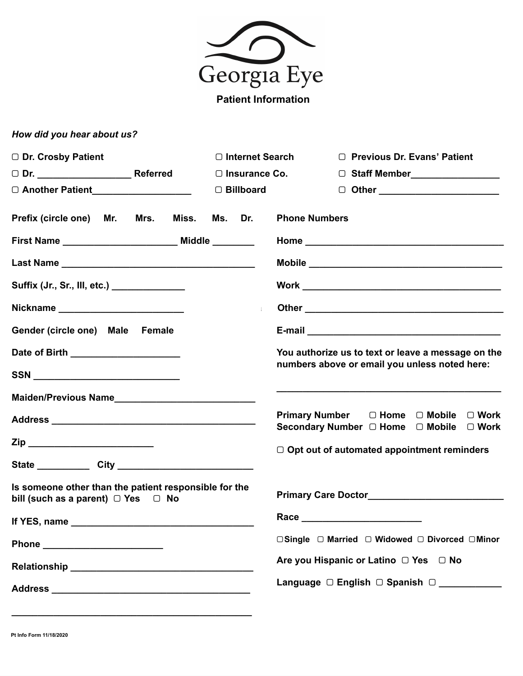

**Patient Information** 

## *How did you hear about us?*

| □ Dr. Crosby Patient                                                                                  | $\Box$ Internet Search | □ Previous Dr. Evans' Patient                                                     |
|-------------------------------------------------------------------------------------------------------|------------------------|-----------------------------------------------------------------------------------|
|                                                                                                       | $\Box$ Insurance Co.   | □ Staff Member__________________                                                  |
|                                                                                                       |                        | 0 Other _______________________                                                   |
| Prefix (circle one) Mr. Mrs. Miss. Ms. Dr.                                                            |                        | <b>Phone Numbers</b>                                                              |
|                                                                                                       |                        |                                                                                   |
|                                                                                                       |                        |                                                                                   |
| Suffix (Jr., Sr., III, etc.) ______________                                                           |                        |                                                                                   |
| Nickname __________________________                                                                   |                        |                                                                                   |
| Gender (circle one) Male Female                                                                       |                        |                                                                                   |
| Date of Birth _______________________                                                                 |                        | You authorize us to text or leave a message on the                                |
| SSN ___________________________                                                                       |                        | numbers above or email you unless noted here:                                     |
|                                                                                                       |                        |                                                                                   |
|                                                                                                       |                        | Primary Number  □ Home □ Mobile □ Work<br>Secondary Number □ Home □ Mobile □ Work |
|                                                                                                       |                        | $\Box$ Opt out of automated appointment reminders                                 |
|                                                                                                       |                        |                                                                                   |
| Is someone other than the patient responsible for the<br>bill (such as a parent) $\Box$ Yes $\Box$ No |                        |                                                                                   |
|                                                                                                       |                        |                                                                                   |
|                                                                                                       |                        | □Single □ Married □ Widowed □ Divorced □ Minor                                    |
|                                                                                                       |                        | Are you Hispanic or Latino □ Yes □ No                                             |
|                                                                                                       |                        | Language □ English □ Spanish □                                                    |

**\_\_\_\_\_\_\_\_\_\_\_\_\_\_\_\_\_\_\_\_\_\_\_\_\_\_\_\_\_\_\_\_\_\_\_\_\_\_\_\_\_\_\_\_\_\_**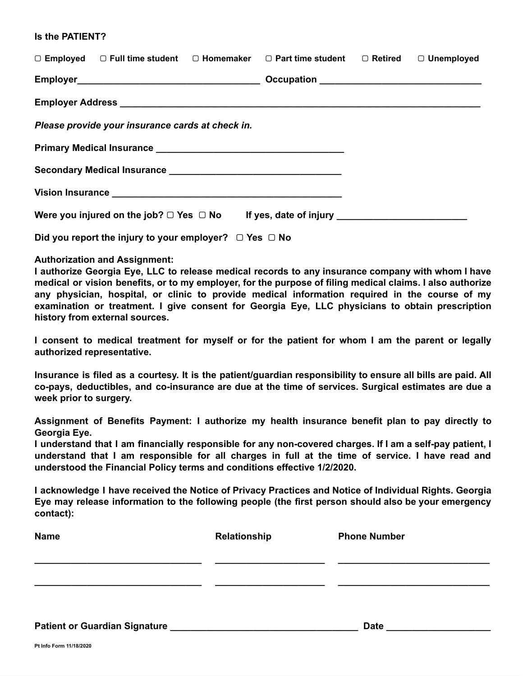#### **Is the PATIENT?**

|                                                   |  |  | $\Box$ Employed $\Box$ Full time student $\Box$ Homemaker $\Box$ Part time student $\Box$ Retired |  | $\Box$ Unemployed |
|---------------------------------------------------|--|--|---------------------------------------------------------------------------------------------------|--|-------------------|
|                                                   |  |  | Occupation ___________________________________                                                    |  |                   |
|                                                   |  |  |                                                                                                   |  |                   |
| Please provide your insurance cards at check in.  |  |  |                                                                                                   |  |                   |
|                                                   |  |  |                                                                                                   |  |                   |
|                                                   |  |  |                                                                                                   |  |                   |
|                                                   |  |  |                                                                                                   |  |                   |
| Were you injured on the job? $\Box$ Yes $\Box$ No |  |  |                                                                                                   |  |                   |

**Did you report the injury to your employer?** ▢ **Yes** ▢ **No** 

#### **Authorization and Assignment:**

**I authorize Georgia Eye, LLC to release medical records to any insurance company with whom I have medical or vision benefits, or to my employer, for the purpose of filing medical claims. I also authorize any physician, hospital, or clinic to provide medical information required in the course of my examination or treatment. I give consent for Georgia Eye, LLC physicians to obtain prescription history from external sources.** 

**I consent to medical treatment for myself or for the patient for whom I am the parent or legally authorized representative.** 

**Insurance is filed as a courtesy. It is the patient/guardian responsibility to ensure all bills are paid. All co-pays, deductibles, and co-insurance are due at the time of services. Surgical estimates are due a week prior to surgery.** 

**Assignment of Benefits Payment: I authorize my health insurance benefit plan to pay directly to Georgia Eye.** 

**I understand that I am financially responsible for any non-covered charges. If I am a self-pay patient, I understand that I am responsible for all charges in full at the time of service. I have read and understood the Financial Policy terms and conditions effective 1/2/2020.** 

**I acknowledge I have received the Notice of Privacy Practices and Notice of Individual Rights. Georgia Eye may release information to the following people (the first person should also be your emergency contact):** 

| <b>Name</b>                          | Relationship | <b>Phone Number</b> |
|--------------------------------------|--------------|---------------------|
|                                      |              |                     |
|                                      |              |                     |
| <b>Patient or Guardian Signature</b> |              | <b>Date</b>         |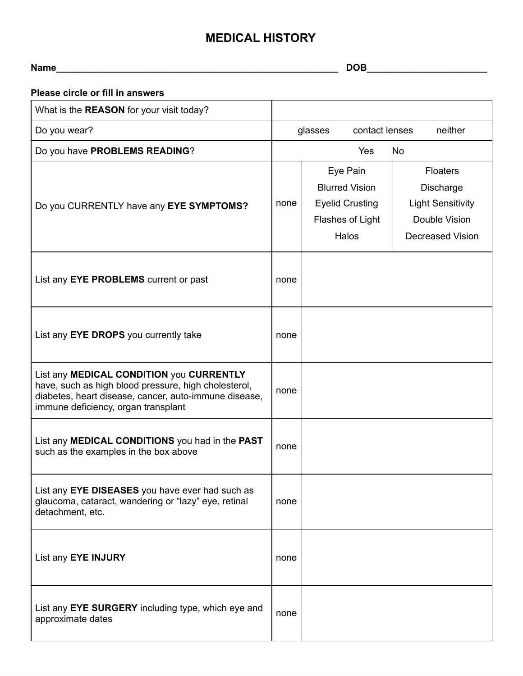# **MEDICAL HISTORY**

| <b>Name</b> | $R^*$<br>M<br>$\overline{\phantom{0}}$<br>. . |
|-------------|-----------------------------------------------|
|             |                                               |

| Please circle or fill in answers                                                                                                                                                                 |      |                                                                                          |                                                                                                             |  |
|--------------------------------------------------------------------------------------------------------------------------------------------------------------------------------------------------|------|------------------------------------------------------------------------------------------|-------------------------------------------------------------------------------------------------------------|--|
| What is the REASON for your visit today?                                                                                                                                                         |      |                                                                                          |                                                                                                             |  |
| Do you wear?                                                                                                                                                                                     |      | contact lenses<br>neither<br>glasses                                                     |                                                                                                             |  |
| Do you have PROBLEMS READING?                                                                                                                                                                    |      | Yes                                                                                      | No                                                                                                          |  |
| Do you CURRENTLY have any EYE SYMPTOMS?                                                                                                                                                          | none | Eye Pain<br><b>Blurred Vision</b><br><b>Eyelid Crusting</b><br>Flashes of Light<br>Halos | <b>Floaters</b><br><b>Discharge</b><br><b>Light Sensitivity</b><br>Double Vision<br><b>Decreased Vision</b> |  |
| List any EYE PROBLEMS current or past                                                                                                                                                            | none |                                                                                          |                                                                                                             |  |
| List any EYE DROPS you currently take                                                                                                                                                            | none |                                                                                          |                                                                                                             |  |
| List any MEDICAL CONDITION you CURRENTLY<br>have, such as high blood pressure, high cholesterol,<br>diabetes, heart disease, cancer, auto-immune disease,<br>immune deficiency, organ transplant | none |                                                                                          |                                                                                                             |  |
| List any MEDICAL CONDITIONS you had in the PAST<br>such as the examples in the box above                                                                                                         | none |                                                                                          |                                                                                                             |  |
| List any EYE DISEASES you have ever had such as<br>glaucoma, cataract, wandering or "lazy" eye, retinal<br>detachment, etc.                                                                      | none |                                                                                          |                                                                                                             |  |
| List any EYE INJURY                                                                                                                                                                              | none |                                                                                          |                                                                                                             |  |
| List any EYE SURGERY including type, which eye and<br>approximate dates                                                                                                                          | none |                                                                                          |                                                                                                             |  |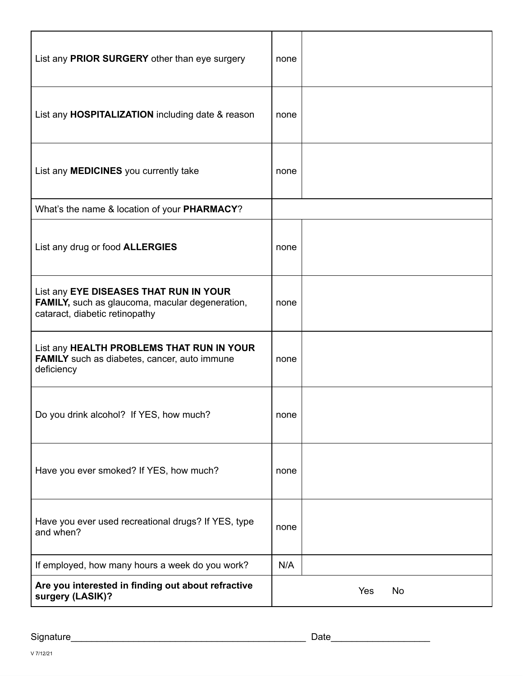| List any PRIOR SURGERY other than eye surgery                                                                               | none |           |
|-----------------------------------------------------------------------------------------------------------------------------|------|-----------|
| List any HOSPITALIZATION including date & reason                                                                            | none |           |
| List any MEDICINES you currently take                                                                                       | none |           |
| What's the name & location of your PHARMACY?                                                                                |      |           |
| List any drug or food ALLERGIES                                                                                             | none |           |
| List any EYE DISEASES THAT RUN IN YOUR<br>FAMILY, such as glaucoma, macular degeneration,<br>cataract, diabetic retinopathy | none |           |
| List any HEALTH PROBLEMS THAT RUN IN YOUR<br><b>FAMILY</b> such as diabetes, cancer, auto immune<br>deficiency              | none |           |
| Do you drink alcohol? If YES, how much?                                                                                     | none |           |
| Have you ever smoked? If YES, how much?                                                                                     | none |           |
| Have you ever used recreational drugs? If YES, type<br>and when?                                                            | none |           |
| If employed, how many hours a week do you work?                                                                             | N/A  |           |
| Are you interested in finding out about refractive<br>surgery (LASIK)?                                                      |      | Yes<br>No |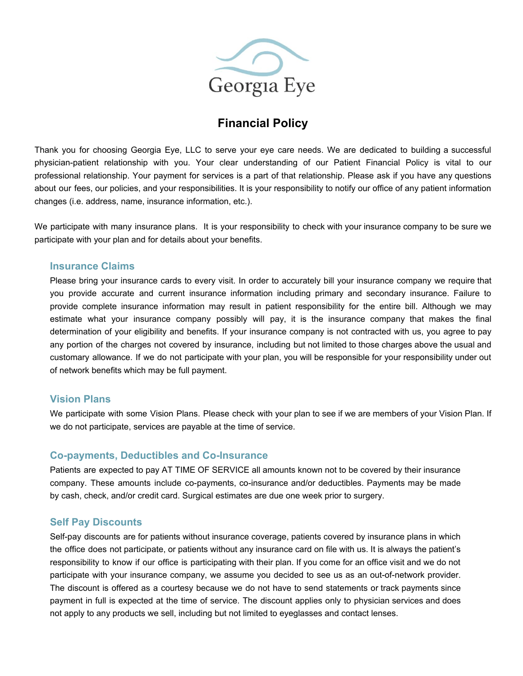

# **Financial Policy**

Thank you for choosing Georgia Eye, LLC to serve your eye care needs. We are dedicated to building a successful physician-patient relationship with you. Your clear understanding of our Patient Financial Policy is vital to our professional relationship. Your payment for services is a part of that relationship. Please ask if you have any questions about our fees, our policies, and your responsibilities. It is your responsibility to notify our office of any patient information changes (i.e. address, name, insurance information, etc.).

We participate with many insurance plans. It is your responsibility to check with your insurance company to be sure we participate with your plan and for details about your benefits.

#### **Insurance Claims**

Please bring your insurance cards to every visit. In order to accurately bill your insurance company we require that you provide accurate and current insurance information including primary and secondary insurance. Failure to provide complete insurance information may result in patient responsibility for the entire bill. Although we may estimate what your insurance company possibly will pay, it is the insurance company that makes the final determination of your eligibility and benefits. If your insurance company is not contracted with us, you agree to pay any portion of the charges not covered by insurance, including but not limited to those charges above the usual and customary allowance. If we do not participate with your plan, you will be responsible for your responsibility under out of network benefits which may be full payment.

#### **Vision Plans**

We participate with some Vision Plans. Please check with your plan to see if we are members of your Vision Plan. If we do not participate, services are payable at the time of service.

### **Co-payments, Deductibles and Co-Insurance**

Patients are expected to pay AT TIME OF SERVICE all amounts known not to be covered by their insurance company. These amounts include co-payments, co-insurance and/or deductibles. Payments may be made by cash, check, and/or credit card. Surgical estimates are due one week prior to surgery.

#### **Self Pay Discounts**

Self-pay discounts are for patients without insurance coverage, patients covered by insurance plans in which the office does not participate, or patients without any insurance card on file with us. It is always the patient's responsibility to know if our office is participating with their plan. If you come for an office visit and we do not participate with your insurance company, we assume you decided to see us as an out-of-network provider. The discount is offered as a courtesy because we do not have to send statements or track payments since payment in full is expected at the time of service. The discount applies only to physician services and does not apply to any products we sell, including but not limited to eyeglasses and contact lenses.